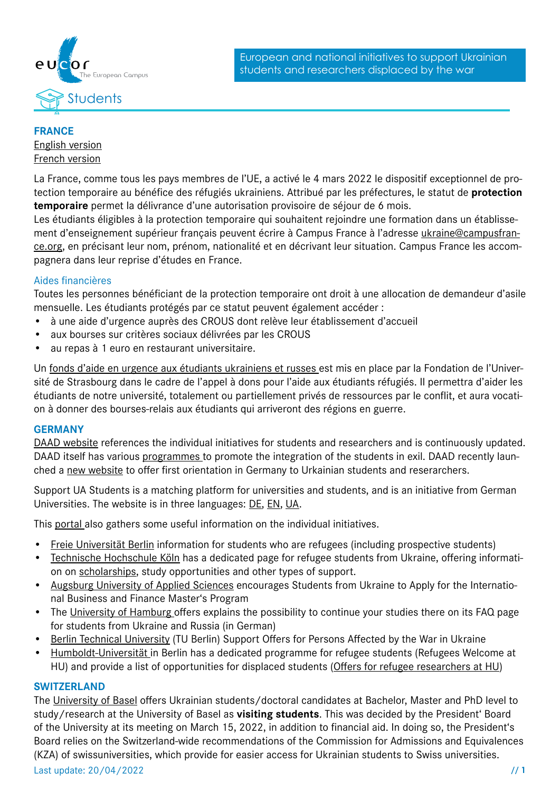



# **FRANCE**

### [English version](https://www.campusfrance.org/en/displaced-students-from-ukraine-under-the-status-of-temporary-protection-campus-france-helps-you%20) [French version](https://www.campusfrance.org/fr/etudiants-deplaces-d-ukraine-et-beneficiaires-de-la-protection-temporaire-campus-france-vous-aide-a)

La France, comme tous les pays membres de l'UE, a activé le 4 mars 2022 le dispositif exceptionnel de protection temporaire au bénéfice des réfugiés ukrainiens. Attribué par les préfectures, le statut de **protection temporaire** permet la délivrance d'une autorisation provisoire de séjour de 6 mois.

Les étudiants éligibles à la protection temporaire qui souhaitent rejoindre une formation dans un établissement d'enseignement supérieur français peuvent écrire à Campus France à l'adresse [ukraine@campusfran](mailto:ukraine%40campusfrance.org?subject=)[ce.org](mailto:ukraine%40campusfrance.org?subject=), en précisant leur nom, prénom, nationalité et en décrivant leur situation. Campus France les accompagnera dans leur reprise d'études en France.

# Aides financières

Toutes les personnes bénéficiant de la protection temporaire ont droit à une allocation de demandeur d'asile mensuelle. Les étudiants protégés par ce statut peuvent également accéder :

- à une aide d'urgence auprès des CROUS dont relève leur établissement d'accueil
- aux bourses sur critères sociaux délivrées par les CROUS
- au repas à 1 euro en restaurant universitaire.

Un [fonds d'aide en urgence aux étudiants ukrainiens et russes](https://fondation.unistra.fr/projet/accueil-des-etudiants-refugies-a-luniversite-de-strasbourg/) est mis en place par la Fondation de l'Université de Strasbourg dans le cadre de [l'appel à dons pour l'aide aux étudiants réfugiés](https://fondation.unistra.fr/projet/accueil-des-etudiants-refugies-a-luniversite-de-strasbourg/). Il permettra d'aider les étudiants de notre université, totalement ou partiellement privés de ressources par le conflit, et aura vocation à donner des bourses-relais aux étudiants qui arriveront des régions en guerre.

### **GERMANY**

[DAAD website](https://www.daad.de/en/the-daad/hilfsangebote/) references the individual initiatives for students and researchers and is continuously updated. DAAD itself has various [programmes](https://www.daad.de/en/information-services-for-higher-education-institutions/expertise-on-subjects-countries-regions/refugees-at-higher-education-institutions/) to promote the integration of the students in exil. DAAD recently launched a [new website](https://www.daad-ukraine.org/en/) to offer first orientation in Germany to Urkainian students and reserarchers.

Support UA Students is a matching platform for universities and students, and is an initiative from German Universities. The website is in three languages: [DE](https://support.uastudents.de/), [EN,](https://support.uastudents.de/en/) [UA](https://support.uastudents.de/uk/).

This [portal](https://www.mastersportal.com/articles/3034/support-to-study-in-germany-for-students-from-ukraine.html) also gathers some useful information on the individual initiatives.

- [Freie Universität Berlin](https://www.fu-berlin.de/en/universitaet/ukraine/faq/gefluechtete-studierende/index.html) information for students who are refugees (including prospective students)
- [Technische Hochschule Köln](https://www.th-koeln.de/en/ukraine_92277.php%23sprungmarke_2_3) has a dedicated page for refugee students from Ukraine, offering information on [scholarships](https://www.th-koeln.de/en/international_office/scholarships-for-ukrainian-students_92555.php), study opportunities and other types of support.
- [Augsburg University of Applied Sciences](https://www.hs-augsburg.de/en/Business/Augsburg-University-of-Applied-Sciences-Encourages-Students-from-Ukraine-to-Apply-for-the-Master-s-Program-International-Business-and-Finance.html) encourages Students from Ukraine to Apply for the International Business and Finance Master's Program
- The [University of Hamburg](https://www.uni-hamburg.de/uhhhilft-ukraine/faq.html) offers explains the possibility to continue your studies there on its FAQ page for students from Ukraine and Russia (in German)
- [Berlin Technical University](https://www.tu.berlin/en/topics/ukraine/) (TU Berlin) Support Offers for Persons Affected by the War in Ukraine
- [Humboldt-Universität](https://www.international.hu-berlin.de/en/refugees%3Fset_language%3Den) in Berlin has a dedicated programme for refugee students (Refugees Welcome at HU) and provide a list of opportunities for displaced students ([Offers for refugee researchers at HU\)](https://www.international.hu-berlin.de/en/refugees/offers-for-refugee-researchers-at-humboldt-universitat%3Fset_language%3Den)

### **SWITZERLAND**

The [University of Basel](https://www.unibas.ch/en/News-Events/Ukraine.html) offers Ukrainian students/doctoral candidates at Bachelor, Master and PhD level to study/research at the University of Basel as **visiting students**. This was decided by the President' Board of the University at its meeting on March 15, 2022, in addition to financial aid. In doing so, the President's Board relies on the Switzerland-wide recommendations of the Commission for Admissions and Equivalences (KZA) of swissuniversities, which provide for easier access for Ukrainian students to Swiss universities.

Last update: 20/04/2022 **// 1**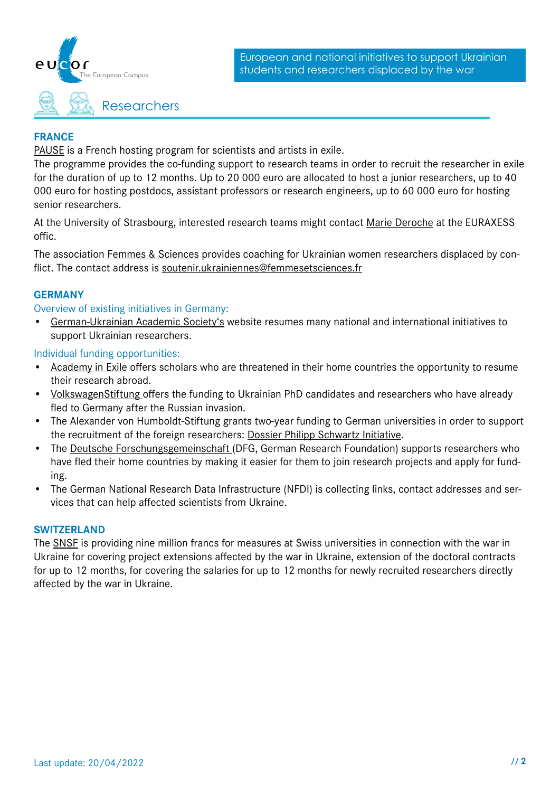

### **FRANCE**

[PAUSE](https://www.programmepause.org/%3Fpage_id%3D1870) is a French hosting program for scientists and artists in exile.

The programme provides the co-funding support to research teams in order to recruit the researcher in exile for the duration of up to 12 months. Up to 20 000 euro are allocated to host a junior researchers, up to 40 000 euro for hosting postdocs, assistant professors or research engineers, up to 60 000 euro for hosting senior researchers.

At the University of Strasbourg, interested research teams might contact [Marie Deroche](mailto:marie.deroche%40unistra.fr?subject=) at the EURAXESS offic.

The association [Femmes & Sciences](https://www.femmesetsciences.fr/news/accueil-des-femmes-ukrainiennes) provides coaching for Ukrainian women researchers displaced by conflict. The contact address is [soutenir.ukrainiennes@femmesetsciences.fr](mailto:soutenir.ukrainiennes%40femmesetsciences.fr?subject=)

### **GERMANY**

Overview of existing initiatives in Germany:

• [German-Ukrainian Academic Society's](https://ukrainet.eu/de-funding-organizations/) website resumes many national and international initiatives to support Ukrainian researchers.

### Individual funding opportunities:

- [Academy in Exile](https://www.academy-in-exile.eu/) offers scholars who are threatened in their home countries the opportunity to resume their research abroad.
- [VolkswagenStiftung o](https://www.volkswagenstiftung.de/en/funding/our-funding-portfolio-at-a-glance/funding-for-refugee-scholars-and-scientists-from-ukraine)ffers the funding to Ukrainian PhD candidates and researchers who have already fled to Germany after the Russian invasion.
- The Alexander von Humboldt-Stiftung grants two-year funding to German universities in order to support the recruitment of the foreign researchers: [Dossier Philipp Schwartz Initiative.](https://www.humboldt-foundation.de/en/explore/newsroom/dossier-philipp-schwartz-initiative)
- The [Deutsche Forschungsgemeinschaft](https://www.dfg.de/en/research_funding/proposal_review_decision/refugee_researchers/index.html) (DFG, German Research Foundation) supports researchers who have fled their home countries by making it easier for them to join research projects and apply for funding.
- The German National Research Data Infrastructure (NFDI) is collecting links, contact addresses and services that can help affected scientists from Ukraine.

### **SWITZERLAND**

The [SNSF](%20https://www.snf.ch/en/fniDfiLk26l0144l/page/measures-for-researchers-from-ukraine) is providing nine million francs for measures at Swiss universities in connection with the war in Ukraine for covering project extensions affected by the war in Ukraine, extension of the doctoral contracts for up to 12 months, for covering the salaries for up to 12 months for newly recruited researchers directly affected by the war in Ukraine.